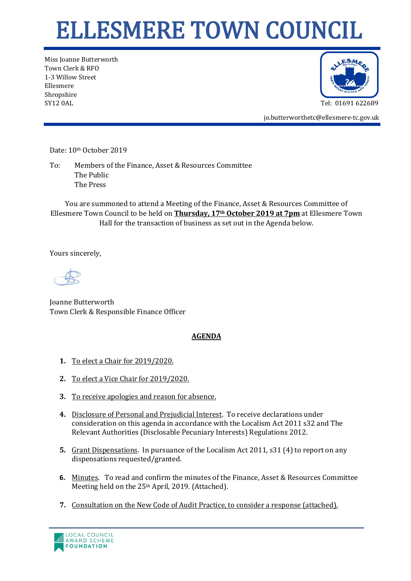## ELLESMERE TOWN COUNCIL

Miss Joanne Butterworth Town Clerk & RFO 1-3 Willow Street Ellesmere Shropshire SY12 0AL Tel: 01691 622689



jo.butterworthetc@ellesmere-tc.gov.uk

Date: 10th October 2019

To: Members of the Finance, Asset & Resources Committee The Public The Press

You are summoned to attend a Meeting of the Finance, Asset & Resources Committee of Ellesmere Town Council to be held on **Thursday, 17th October 2019 at 7pm** at Ellesmere Town Hall for the transaction of business as set out in the Agenda below.

Yours sincerely,

Joanne Butterworth Town Clerk & Responsible Finance Officer

## **AGENDA**

- **1.** To elect a Chair for 2019/2020.
- **2.** To elect a Vice Chair for 2019/2020.
- **3.** To receive apologies and reason for absence.
- **4.** Disclosure of Personal and Prejudicial Interest. To receive declarations under consideration on this agenda in accordance with the Localism Act 2011 s32 and The Relevant Authorities (Disclosable Pecuniary Interests) Regulations 2012.
- **5.** Grant Dispensations. In pursuance of the Localism Act 2011, s31 (4) to report on any dispensations requested/granted.
- **6.** Minutes. To read and confirm the minutes of the Finance, Asset & Resources Committee Meeting held on the 25<sup>th</sup> April, 2019. (Attached).
- **7.** Consultation on the New Code of Audit Practice, to consider a response (attached).